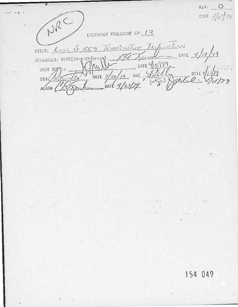REV. O NRC care  $3/2/2$ ENERGENCY PROCEDURE EP- /3 TITLE: Loss of RCS Temperature Infinition APPROVALS: FORC(21 Chinany) 156 Xund DATE 4/19/19<br>UNIT SUPT.: MINITOATE 9/25/79 NRC 4/22/22 DATE 1/25/79  $\frac{1}{2}$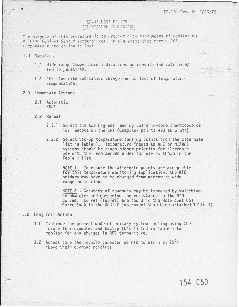## EP-13 LOSS OF RCS TEMPERATURE HODICATION

The purpose of this procedure is to provide alternate means of memitoring Reseior Conlent System Temperatures, in the event that normel RCS temperature indication is lest.

1.0 Symptoms

- 1.1 Wide range temperature indications on console indicate high/ low temperatures:
- 1.2 RCS flow rate indication change due to loss of temperature compensation.
- 2.0 Immediate Actions
	- 2.1 Automatic **NONE**
	- $2.2$  Manual
		- 2.2.1 Select the two highest reading valid in-core thermocouples for readout on the CRT (Computer points 493 thru 544).
		- 2.2.2 Select backup temperature sensing points from the alternate list in Table 1. Temperature inputs to NNI or NI/RPS systems should be given higher priority for alternate use with the recogneeded order for use as shown in the Table 1 list.

 $MOTE$   $1 - To ensure the alternate points are acceptable$ for this temperature monitoring application, the RTD bridges may have to be changed from narrow to wide range indication.

NOTE  $2$  - Accuracy of readouts may be improved by switching an ohmmeter and comparing the resistance to the RTD curves. Curves (Tables) are found in the Rosemount Cal Curve Book in the Unit 2 Instrument shop (see attached Table 1).

## 3.0 Long Term Action

- 3.1 Continue the present mode of primary system cooling using the incore thermocouples and backup TE's listed in Table 1 to monitor for any changes in RCS temperature.
- 3.2 Adjust core thermcouple computer points to alarm at 75°F above their current readings.

154 050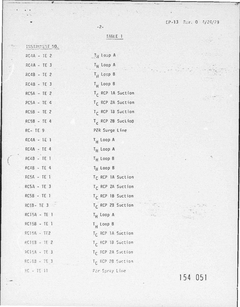$\dddot{z}$ 

 $\rightarrow$ 

|  |  |  | <b>TABLE 1</b> |  |
|--|--|--|----------------|--|
|  |  |  |                |  |

 $-2-$ 

 $\mathcal{F}^{\text{in}}(\mathcal{F})$  ,  $\mathcal{F}^{\text{in}}(\mathcal{F})$ 

| INSTRUMENT NO.      |                               |
|---------------------|-------------------------------|
| RC4A - IE 2         | TH LOOP A                     |
| RC4A - TE 3         | $T_H$ Loop A                  |
| $RC4B - TE$ 2       | $T_H$ Leep B                  |
| RC48 - TE 3         | $T_H$ Loop B                  |
| RCSA - TE 2         | T <sub>r</sub> RCP 1A Suction |
| $RCSA - TE G$       | T <sub>C</sub> RCP 2A Suction |
| RC5B - TE 2         | T <sub>C</sub> RCP 13 Suction |
| RC5B - TE 4         | T <sub>c</sub> RCP 2B Suction |
| RC-TE9              | PZR Surge Line                |
| $RC4A - TE$ 1       | T <sub>H</sub> Loop A         |
| $RC4A - TE4$        | $T_H$ Loop A                  |
| RC43 - TE 1         | $T_H$ Loop B                  |
| <b>P.C48 - TE 4</b> | T <sub>H</sub> Loop B         |
| $RC5A - TE$ 1       | T <sub>C</sub> RCP 1A Suction |
| RC5A - TE 3         | T <sub>C</sub> RCP 2A Suction |
| RC5B - TE 1         | T <sub>C</sub> RCP 1B Suction |
| RC53-TE3            | T <sub>C</sub> RCP 23 Suction |
| RCISA - TE I        | $T_H$ Loop A                  |
| RC15B - TE 1        | $T_H$ Loop B                  |
| RC15A - TE2         | T <sub>C</sub> RCP 1A Suction |
| AC153 - TE 2        | T <sub>C</sub> RCP 18 Suction |
| BOISA - TE 3        | T <sub>C</sub> RCP 2A Suction |
| $ECIB = TE$ 3       | Tr RCP 2B Suction             |
| $PC - TE 11$        | Par Spray Line                |

154 051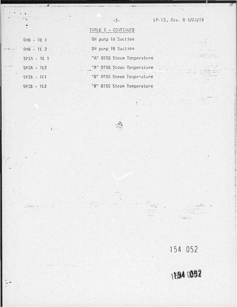$\mathbf{R}$ 

estra

|               | TABLE 1 - CONTINUED        |
|---------------|----------------------------|
| DH6 - TE 1    | DH pump lA Suction         |
| $DHG - TE$ 2  | DH pump 18 Suction         |
| $SP3A - TE$ ] | "A" OTSG Steam Temperature |
| $SP3A - TE2$  | "A" OTSG Steam Temperature |
| $SP33 - TE1$  | "B" OTSG Steam Temperature |
| $SP3B - TE2$  | "B" OTSG Steam Temperature |

 $\mathbf{r}$ 

154 052

 $\sim$  .  $\mathcal{L}(\mathcal{X}) = \mathcal{L}(\mathcal{X})$  $4.96 - 1.$ 

# 1594 0952

 $\frac{1}{2}$  .

÷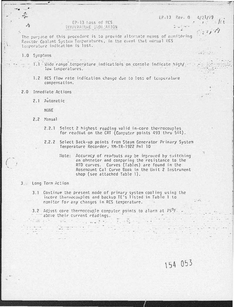#### $E = 13$  Fey. 0  $4/21/79$  $1: k$

 $\frac{1}{2}i$ 

 $1.753$ 

## EP-13 loss of FCS TENNIRATURE INDICATION

The purpose of this procedure is to provide alternate means of manitoring Reactor Coolent Systam Tamperatures, in the event that normal RCS temperature indication is lost.

1.0 Symptoms

1.1 Wide range temperature indications on console indicate high/ low temperatures.

- 1.2 RCS flow rate indication change due to loss of temperature compensation.
- 2.0 Immediate Actions
	- 2.1 Automatic

NONE

- 16unsM S.S
	- 2.2.1 Select 2 highest reading valid in-core thermocouples for readout on the CRT (Computer points 493 thru 544).
	- 2.2.2 Select Back-up points from Steam Generator Primary System Temperature Recorder, YM-TR-1922 Pnl 10
		- Note: Accuracy of readouts may be improved by switching an ohmmeter and comparing the resistance to the RTD curves. Curves (Tables) are found in the Rosemount Cal Curve Book in the Unit 2 Instrument shop (see attached Table 1).

### 3. Long Term Action

industrial and

 $\begin{array}{l} \left( \begin{array}{cc} 1 & \frac{1}{2} & \frac{1}{2} & \frac{1}{2} & \frac{1}{2} \\ \frac{1}{2} & \frac{1}{2} & \frac{1}{2} & \frac{1}{2} & \frac{1}{2} \\ \frac{1}{2} & \frac{1}{2} & \frac{1}{2} & \frac{1}{2} & \frac{1}{2} \\ \frac{1}{2} & \frac{1}{2} & \frac{1}{2} & \frac{1}{2} & \frac{1}{2} & \frac{1}{2} \\ \frac{1}{2} & \frac{1}{2} & \frac{1}{2} & \frac{1}{2} & \frac{1}{2} &$ 

- 3.1 Continue the present mode of primary system cooling using the incore thermocouples and backup TE's listed in Table 1 to monitor for any changes in RCS temperature.
- 3.2 Adjust core thermoccuple computer points to alarm at  $75^{\circ}$ F above their current readings.  $\frac{1}{2} \sum_{i=1}^{n} \frac{1}{2} \sum_{i=1}^{n} \frac{1}{2} \sum_{i=1}^{n} \frac{1}{2} \sum_{i=1}^{n} \frac{1}{2} \sum_{i=1}^{n} \frac{1}{2} \sum_{i=1}^{n} \frac{1}{2} \sum_{i=1}^{n} \frac{1}{2} \sum_{i=1}^{n} \frac{1}{2} \sum_{i=1}^{n} \frac{1}{2} \sum_{i=1}^{n} \frac{1}{2} \sum_{i=1}^{n} \frac{1}{2} \sum_{i=1}^{n} \frac{1}{2} \sum_{i=1}^{n$

154 053

 $\mathcal{A} = \mathcal{A} \times \mathcal{A} \times \mathcal{A} \times \mathcal{A}$